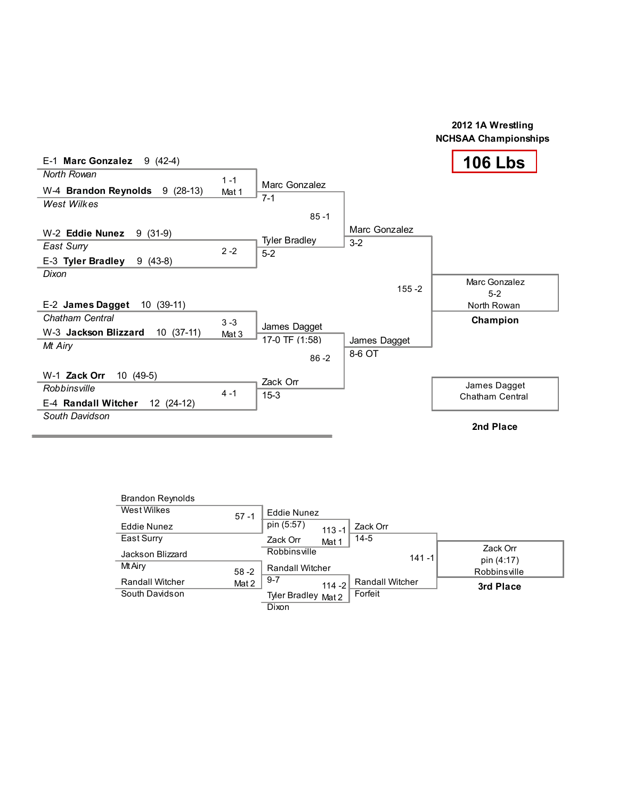

| <b>Brandon Reynolds</b> |          |                         |                        |                        |
|-------------------------|----------|-------------------------|------------------------|------------------------|
| West Wilkes             | $57 - 1$ | Eddie Nunez             |                        |                        |
| Eddie Nunez             |          | pin (5:57)<br>$113 - 1$ | Zack Orr               |                        |
| East Surry              |          | Zack Orr<br>Mat 1       | $14 - 5$               |                        |
| Jackson Blizzard        |          | Robbinsville            | $141 - 1$              | Zack Orr<br>pin (4:17) |
| Mt Airy                 | $58 - 2$ | <b>Randall Witcher</b>  |                        | Robbinsville           |
| <b>Randall Witcher</b>  | Mat 2    | $9-7$<br>$114 - 2$      | <b>Randall Witcher</b> | 3rd Place              |
| South Davidson          |          | Tyler Bradley Mat 2     | Forfeit                |                        |
|                         |          | Dixon                   |                        |                        |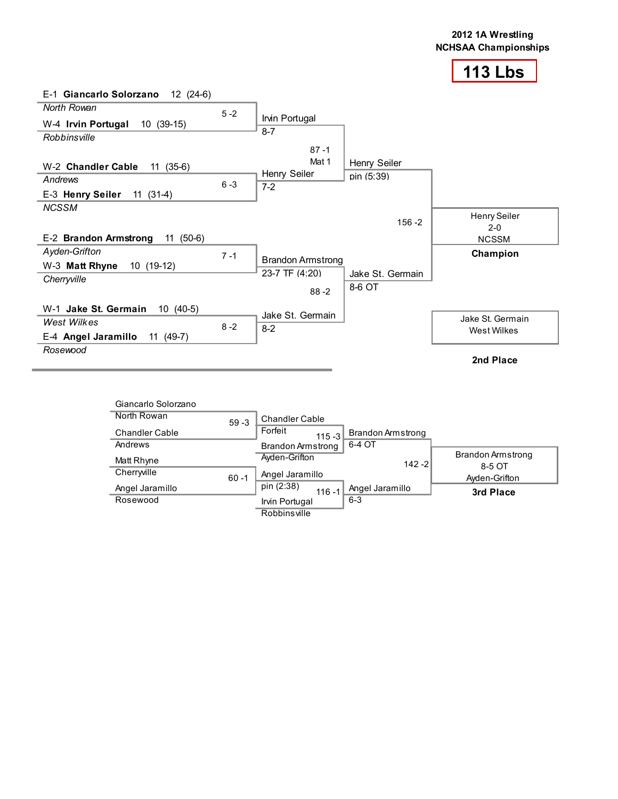

| E-1 Giancarlo Solorzano<br>12 (24-6) |         |                          |                  |                         |
|--------------------------------------|---------|--------------------------|------------------|-------------------------|
| North Rowan                          | $5 - 2$ |                          |                  |                         |
| 10 (39-15)<br>W-4 Irvin Portugal     |         | Irvin Portugal           |                  |                         |
| Robbinsville                         |         | $8 - 7$                  |                  |                         |
|                                      |         | $87 - 1$                 |                  |                         |
| W-2 Chandler Cable<br>$11(35-6)$     |         | Mat 1                    | Henry Seiler     |                         |
| Andrews                              |         | Henry Seiler             | pin (5:39)       |                         |
| E-3 Henry Seiler<br>$11(31-4)$       | $6 - 3$ | $7-2$                    |                  |                         |
| <b>NCSSM</b>                         |         |                          |                  |                         |
|                                      |         |                          | $156 - 2$        | Henry Seiler            |
| E-2 Brandon Armstrong<br>$11(50-6)$  |         |                          |                  | $2 - 0$<br><b>NCSSM</b> |
| Ayden-Grifton                        |         |                          |                  |                         |
| W-3 Matt Rhyne<br>10 (19-12)         | $7 - 1$ | <b>Brandon Armstrong</b> |                  | Champion                |
|                                      |         | 23-7 TF (4:20)           | Jake St. Germain |                         |
| Cherryville                          |         | $88 - 2$                 | 8-6 OT           |                         |
|                                      |         |                          |                  |                         |
| W-1 Jake St. Germain<br>$10(40-5)$   |         | Jake St. Germain         |                  |                         |
| West Wilkes                          | $8 - 2$ | $8 - 2$                  |                  | Jake St. Germain        |
| E-4 Angel Jaramillo<br>$11(49-7)$    |         |                          |                  | West Wilkes             |
| Rosewood                             |         |                          |                  |                         |
|                                      |         |                          |                  | 2nd Place               |

| Giancarlo Solorzano   |          |                                |                          |                             |
|-----------------------|----------|--------------------------------|--------------------------|-----------------------------|
| North Rowan           | $59 - 3$ | <b>Chandler Cable</b>          |                          |                             |
| <b>Chandler Cable</b> |          | Forfeit<br>$115 - 3$           | <b>Brandon Armstrong</b> |                             |
| Andrews               |          | <b>Brandon Armstrong</b>       | 6-4 OT                   |                             |
| Matt Rhyne            |          | Ayden-Grifton                  | $142 - 2$                | Brandon Armstrong<br>8-5 OT |
| Cherryville           | $60 - 1$ | Angel Jaramillo                |                          | Ayden-Grifton               |
| Angel Jaramillo       |          | pin (2:38)<br>$116 - 1$        | Angel Jaramillo          | 3rd Place                   |
| Rosewood              |          | Irvin Portugal<br>Robbinsville | $6 - 3$                  |                             |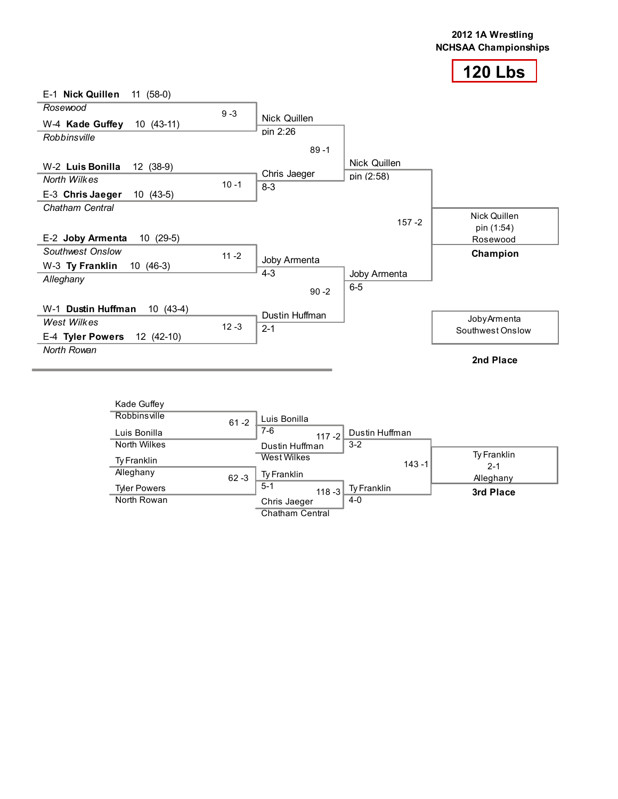



| Kade Guffey         |          |                      |                |           |                        |
|---------------------|----------|----------------------|----------------|-----------|------------------------|
| Robbinsville        | $61 - 2$ | Luis Bonilla         |                |           |                        |
| Luis Bonilla        |          | $7-6$<br>$117 - 2$   | Dustin Huffman |           |                        |
| North Wilkes        |          | Dustin Huffman       | $3 - 2$        |           |                        |
| Ty Franklin         |          | West Wilkes          |                | $143 - 1$ | Ty Franklin<br>$2 - 1$ |
| Alleghany           | $62 - 3$ | Ty Franklin          |                |           | Alleghany              |
| <b>Tyler Powers</b> |          | $5 - 1$<br>$118 - 3$ | Ty Franklin    |           | 3rd Place              |
| North Rowan         |          | Chris Jaeger         | $4 - 0$        |           |                        |
|                     |          | Chatham Central      |                |           |                        |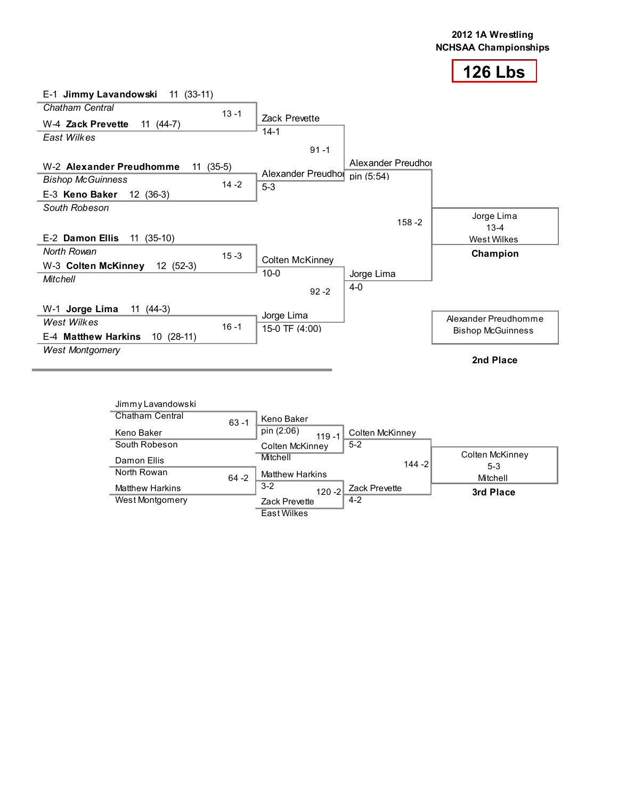| $E-1$ Jimmy Lavandowski 11 (33-11)             |                        |                    |                          |
|------------------------------------------------|------------------------|--------------------|--------------------------|
| Chatham Central<br>$13 - 1$                    |                        |                    |                          |
| W-4 Zack Prevette<br>$11(44-7)$                | <b>Zack Prevette</b>   |                    |                          |
| East Wilkes                                    | $14-1$                 |                    |                          |
|                                                | $91 - 1$               |                    |                          |
| $(35-5)$<br>W-2 Alexander Preudhomme<br>11     |                        | Alexander Preudhor |                          |
| <b>Bishop McGuinness</b>                       | Alexander Preudhol     | pin (5:54)         |                          |
| $14 - 2$<br>E-3 Keno Baker<br>$12(36-3)$       | $5-3$                  |                    |                          |
| South Robeson                                  |                        |                    |                          |
|                                                |                        | $158 - 2$          | Jorge Lima<br>$13 - 4$   |
| E-2 Damon Ellis<br>$11(35-10)$                 |                        |                    | <b>West Wilkes</b>       |
| North Rowan<br>$15 - 3$                        |                        |                    | Champion                 |
| W-3 Colten McKinney<br>$12(52-3)$              | <b>Colten McKinney</b> |                    |                          |
| <b>Mitchell</b>                                | $10 - 0$               | Jorge Lima         |                          |
|                                                | $92 - 2$               | $4 - 0$            |                          |
| W-1 Jorge Lima<br>$11(44-3)$                   |                        |                    |                          |
| West Wilkes                                    | Jorge Lima             |                    | Alexander Preudhomme     |
| $16 - 1$<br>E-4 Matthew Harkins<br>$10(28-11)$ | 15-0 TF (4:00)         |                    | <b>Bishop McGuinness</b> |
| <b>West Montgomery</b>                         |                        |                    |                          |
|                                                |                        |                    | 2nd Place                |

| Jimmy Lavandowski      |          |                         |                 |                            |
|------------------------|----------|-------------------------|-----------------|----------------------------|
| <b>Chatham Central</b> | $63 - 1$ | Keno Baker              |                 |                            |
| Keno Baker             |          | pin (2:06)<br>$119 - 1$ | Colten McKinney |                            |
| South Robeson          |          | Colten McKinney         | $5-2$           |                            |
| Damon Ellis            |          | Mitchell                | $144 - 2$       | Colten McKinney<br>$5 - 3$ |
| North Rowan            | $64 - 2$ | <b>Matthew Harkins</b>  |                 | Mitchell                   |
| <b>Matthew Harkins</b> |          | $3 - 2$<br>$120 - 2$    | Zack Prevette   | 3rd Place                  |
| West Montgomery        |          | <b>Zack Prevette</b>    | $4-2$           |                            |
|                        |          | <b>East Wilkes</b>      |                 |                            |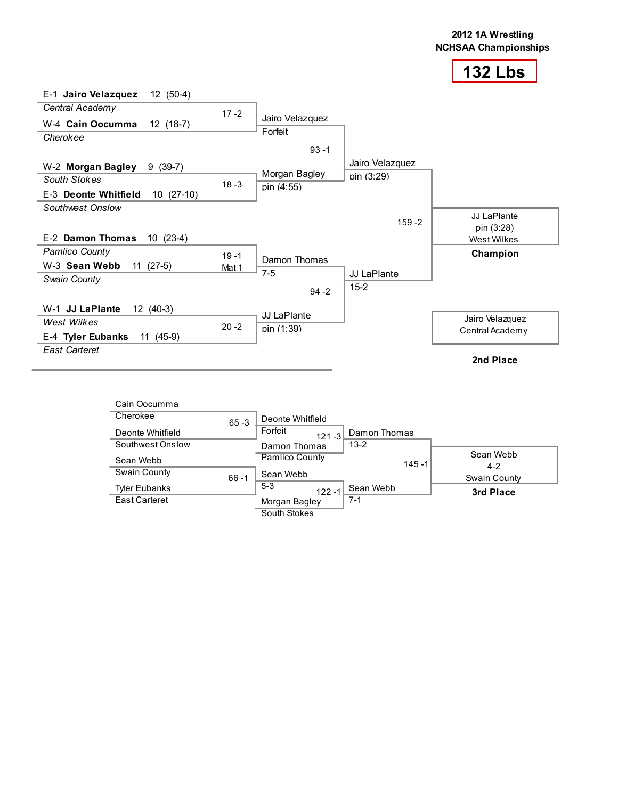

| Cain Oocumma         |          |                          |              |                      |
|----------------------|----------|--------------------------|--------------|----------------------|
| Cherokee             | $65 - 3$ | Deonte Whitfield         |              |                      |
| Deonte Whitfield     |          | Forfeit<br>$121 - 3$     | Damon Thomas |                      |
| Southwest Onslow     |          | $13 - 2$<br>Damon Thomas |              |                      |
| Sean Webb            |          | Pamlico County           | $145 - 1$    | Sean Webb<br>$4 - 2$ |
| Swain County         | $66 - 1$ | Sean Webb                |              | Swain County         |
| <b>Tyler Eubanks</b> |          | $5 - 3$<br>$122 - 1$     | Sean Webb    | 3rd Place            |
| East Carteret        |          | $7 - 1$<br>Morgan Bagley |              |                      |
|                      |          | South Stokes             |              |                      |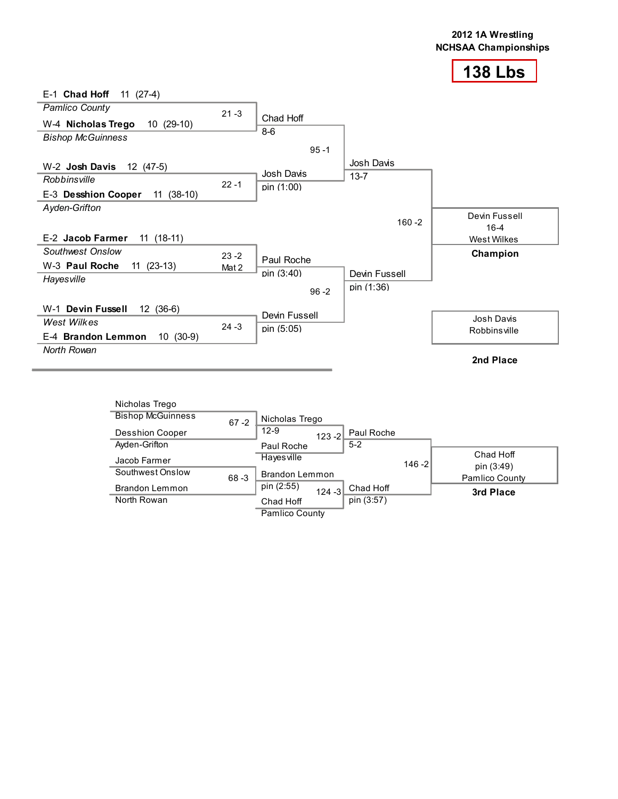

| Nicholas Trego           |          |                                      |           |                         |
|--------------------------|----------|--------------------------------------|-----------|-------------------------|
| <b>Bishop McGuinness</b> | $67 - 2$ | Nicholas Trego                       |           |                         |
| <b>Desshion Cooper</b>   |          | $12-9$<br>Paul Roche<br>$123 - 2$    |           |                         |
| Ayden-Grifton            |          | $5 - 2$<br>Paul Roche                |           |                         |
| Jacob Farmer             |          | Hayesville                           | $146 - 2$ | Chad Hoff<br>pin (3:49) |
| Southwest Onslow         | $68 - 3$ | <b>Brandon Lemmon</b>                |           | Pamlico County          |
| <b>Brandon Lemmon</b>    |          | pin (2:55)<br>Chad Hoff<br>$124 - 3$ |           | 3rd Place               |
| North Rowan              |          | pin (3:57)<br>Chad Hoff              |           |                         |
|                          |          | Pamlico County                       |           |                         |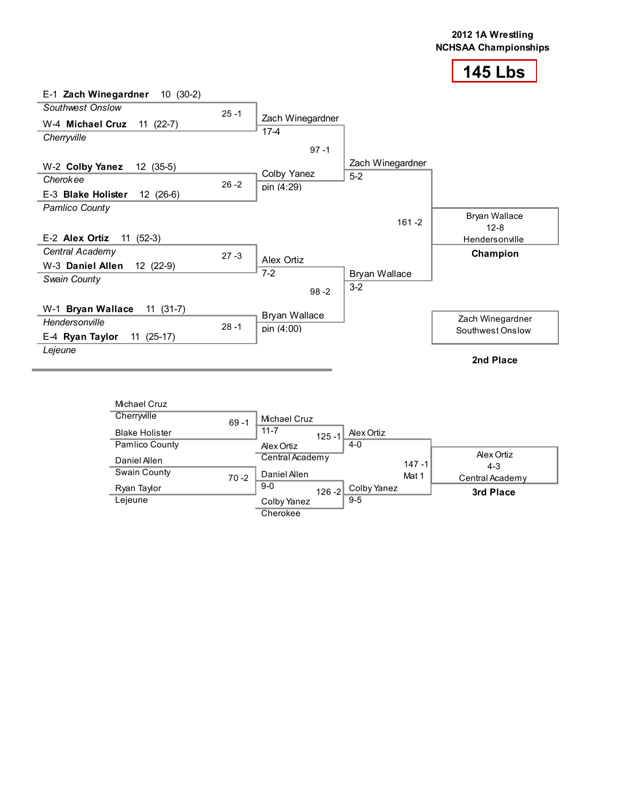

| Michael Cruz          |          |                                                       |  |
|-----------------------|----------|-------------------------------------------------------|--|
| Cherrwille            | $69 - 1$ | Michael Cruz                                          |  |
| <b>Blake Holister</b> |          | $11 - 7$<br>Alex Ortiz<br>$125 - 1$                   |  |
| Pamlico County        |          | $4 - 0$<br>Alex Ortiz                                 |  |
| Daniel Allen          |          | Alex Ortiz<br>Central Academy<br>$147 - 1$<br>$4 - 3$ |  |
| Swain County          | $70 - 2$ | Daniel Allen<br>Mat 1<br>Central Academy              |  |
| Ryan Taylor           |          | $9-0$<br>Colby Yanez<br>$126 - 2$<br>3rd Place        |  |
| Lejeune               |          | $9 - 5$<br>Colby Yanez<br>Cherokee                    |  |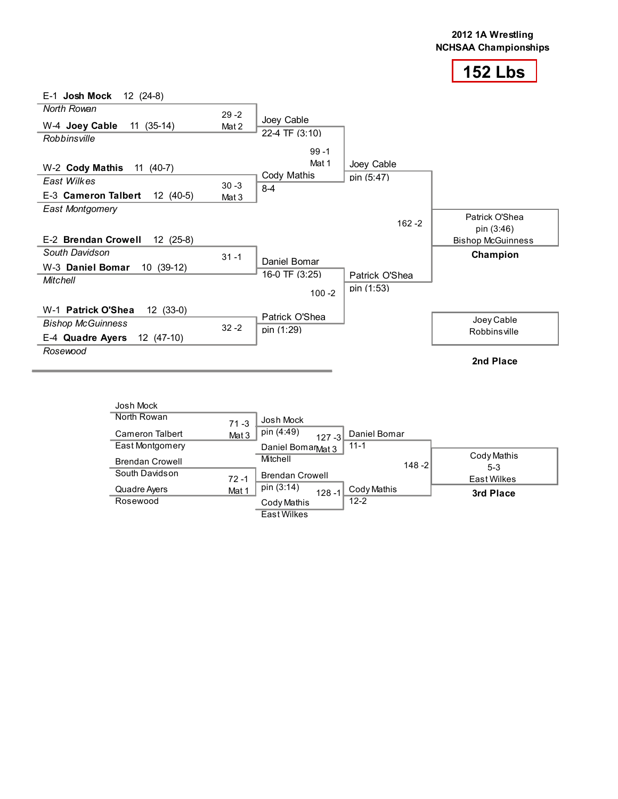

| E-1 Josh Mock<br>$12(24-8)$       |          |                |                |                                        |
|-----------------------------------|----------|----------------|----------------|----------------------------------------|
| North Rowan                       | $29 - 2$ |                |                |                                        |
| $11(35-14)$<br>W-4 Joey Cable     | Mat 2    | Joey Cable     |                |                                        |
| Robbinsville                      |          | 22-4 TF (3:10) |                |                                        |
|                                   |          | $99 - 1$       |                |                                        |
| W-2 Cody Mathis<br>11 (40-7)      |          | Mat 1          | Joey Cable     |                                        |
| East Wilkes                       | $30 - 3$ | Cody Mathis    | pin (5:47)     |                                        |
| 12 (40-5)<br>E-3 Cameron Talbert  | Mat 3    | $8 - 4$        |                |                                        |
| East Montgomery                   |          |                |                |                                        |
|                                   |          |                | $162 - 2$      | Patrick O'Shea                         |
| E-2 Brendan Crowell<br>$12(25-8)$ |          |                |                | pin (3:46)<br><b>Bishop McGuinness</b> |
| South Davidson                    |          |                |                | Champion                               |
| 10 (39-12)<br>W-3 Daniel Bomar    | $31 - 1$ | Daniel Bomar   |                |                                        |
| <b>Mitchell</b>                   |          | 16-0 TF (3:25) | Patrick O'Shea |                                        |
|                                   |          | $100 - 2$      | pin (1:53)     |                                        |
| $12(33-0)$<br>W-1 Patrick O'Shea  |          |                |                |                                        |
| <b>Bishop McGuinness</b>          | $32 - 2$ | Patrick O'Shea |                | Joey Cable                             |
| E-4 Quadre Ayers 12 (47-10)       |          | pin (1:29)     |                | Robbinsville                           |
| Rosewood                          |          |                |                |                                        |
|                                   |          |                |                | 2nd Place                              |

| Josh Mock              |          |                                         |         |                      |
|------------------------|----------|-----------------------------------------|---------|----------------------|
| North Rowan            | $71 - 3$ | Josh Mock                               |         |                      |
| <b>Cameron Talbert</b> | Mat 3    | pin (4:49)<br>Daniel Bomar<br>$127 - 3$ |         |                      |
| East Montgomery        |          | $11 - 1$<br>Daniel BomarMat 3           |         |                      |
| <b>Brendan Crowell</b> |          | Mitchell                                | 148 - 2 | Cody Mathis<br>$5-3$ |
| South Davidson         | $72 - 1$ | <b>Brendan Crowell</b>                  |         | East Wilkes          |
| Quadre Ayers           | Mat 1    | pin (3:14)<br>Cody Mathis<br>$128 - 1$  |         | 3rd Place            |
| Rosewood               |          | $12 - 2$<br>Cody Mathis                 |         |                      |
|                        |          | <b>East Wilkes</b>                      |         |                      |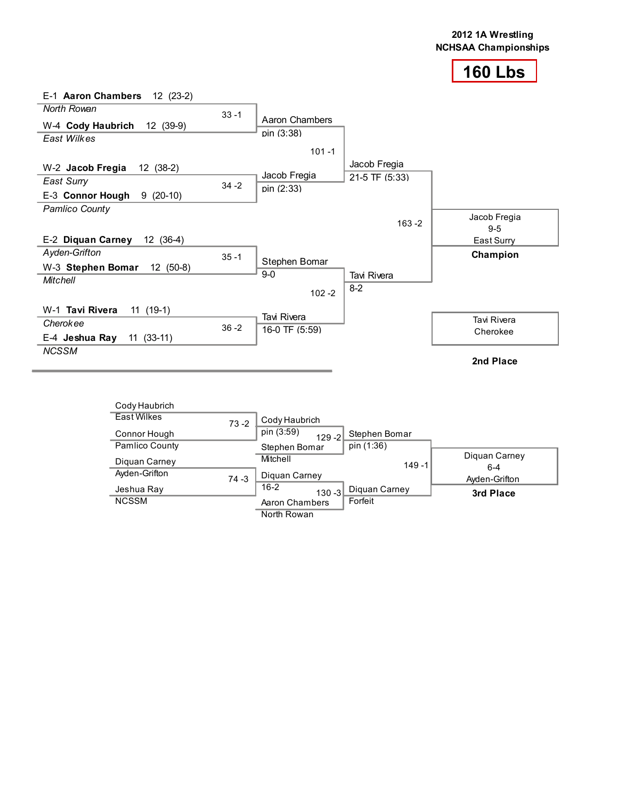

| E-1 Aaron Chambers<br>12 (23-2) |          |                |                |                         |
|---------------------------------|----------|----------------|----------------|-------------------------|
| North Rowan                     | $33 - 1$ |                |                |                         |
| 12 (39-9)<br>W-4 Cody Haubrich  |          | Aaron Chambers |                |                         |
| East Wilkes                     |          | pin (3:38)     |                |                         |
|                                 |          | $101 - 1$      |                |                         |
| W-2 Jacob Fregia<br>$12(38-2)$  |          |                | Jacob Fregia   |                         |
| <b>East Surry</b>               | $34 - 2$ | Jacob Fregia   | 21-5 TF (5:33) |                         |
| $9(20-10)$<br>E-3 Connor Hough  |          | pin (2:33)     |                |                         |
| <b>Pamlico County</b>           |          |                |                |                         |
|                                 |          |                | $163 - 2$      | Jacob Fregia<br>$9 - 5$ |
| E-2 Diquan Carney<br>$12(36-4)$ |          |                |                | East Surry              |
| Ayden-Grifton                   | $35 - 1$ |                |                | Champion                |
| $12(50-8)$<br>W-3 Stephen Bomar |          | Stephen Bomar  |                |                         |
| <b>Mitchell</b>                 |          | $9-0$          | Tavi Rivera    |                         |
|                                 |          | $102 - 2$      | $8 - 2$        |                         |
| W-1 Tavi Rivera<br>$11(19-1)$   |          |                |                |                         |
| Cherokee                        | $36 - 2$ | Tavi Rivera    |                | <b>Tavi Rivera</b>      |
| $11(33-11)$<br>E-4 Jeshua Ray   |          | 16-0 TF (5:59) |                | Cherokee                |
| <b>NCSSM</b>                    |          |                |                |                         |
|                                 |          |                |                | 2nd Place               |

| Cody Haubrich      |          |                         |               |                          |
|--------------------|----------|-------------------------|---------------|--------------------------|
| <b>East Wilkes</b> | $73 - 2$ | Cody Haubrich           |               |                          |
| Connor Hough       |          | pin (3:59)<br>$129 - 2$ | Stephen Bomar |                          |
| Pamlico County     |          | Stephen Bomar           | pin (1:36)    |                          |
| Diguan Carney      |          | Mitchell                | $149 - 1$     | Diguan Carney<br>$6 - 4$ |
| Ayden-Grifton      | $74 - 3$ | Diguan Carney           |               | Ayden-Grifton            |
| Jeshua Ray         |          | $16 - 2$<br>$130 - 3$   | Diguan Carney | 3rd Place                |
| <b>NCSSM</b>       |          | Aaron Chambers          | Forfeit       |                          |
|                    |          | North Rowan             |               |                          |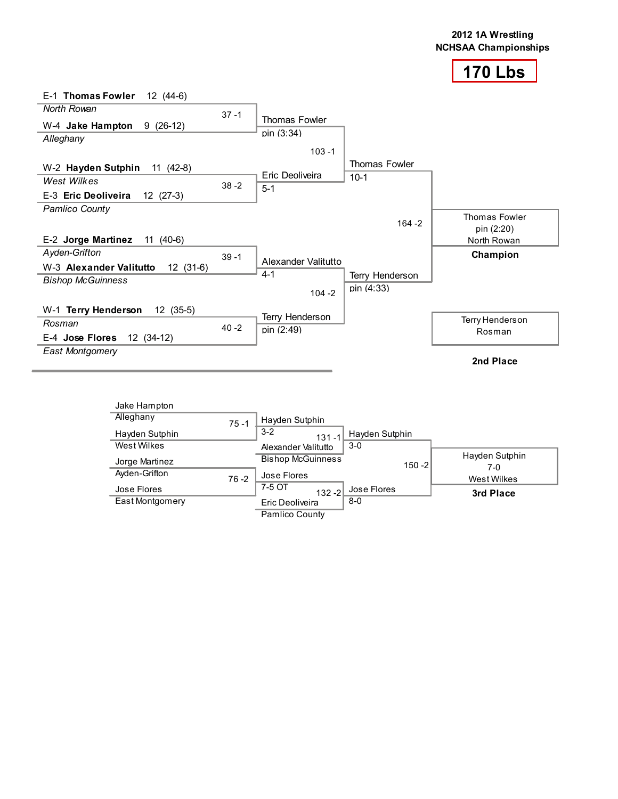

| E-1 Thomas Fowler<br>$12(44-6)$       |          |                     |                 |                      |
|---------------------------------------|----------|---------------------|-----------------|----------------------|
| <b>North Rowan</b>                    | $37 - 1$ |                     |                 |                      |
| W-4 Jake Hampton<br>$9(26-12)$        |          | Thomas Fowler       |                 |                      |
| Alleghany                             |          | pin (3:34)          |                 |                      |
|                                       |          | $103 - 1$           |                 |                      |
| W-2 Hayden Sutphin<br>11 $(42-8)$     |          |                     | Thomas Fowler   |                      |
| West Wilkes                           | $38 - 2$ | Eric Deoliveira     | $10-1$          |                      |
| E-3 Eric Deoliveira<br>$12(27-3)$     |          | $5 - 1$             |                 |                      |
| <b>Pamlico County</b>                 |          |                     |                 | <b>Thomas Fowler</b> |
|                                       |          |                     | $164 - 2$       | pin (2:20)           |
| E-2 Jorge Martinez<br>$11(40-6)$      |          |                     |                 | North Rowan          |
| Ayden-Grifton                         | $39 - 1$ |                     |                 | Champion             |
| W-3 Alexander Valitutto<br>$12(31-6)$ |          | Alexander Valitutto |                 |                      |
| <b>Bishop McGuinness</b>              |          | $4 - 1$             | Terry Henderson |                      |
|                                       |          | $104 - 2$           | pin (4:33)      |                      |
| W-1 Terry Henderson<br>$12(35-5)$     |          |                     |                 |                      |
| Rosman                                | $40 - 2$ | Terry Henderson     |                 | Terry Henderson      |
| 12 (34-12)<br>E-4 Jose Flores         |          | pin (2:49)          |                 | Rosman               |
| <b>East Montgomery</b>                |          |                     |                 |                      |
|                                       |          |                     |                 | 2nd Place            |

| Jake Hampton    |          |                          |                |           |                       |
|-----------------|----------|--------------------------|----------------|-----------|-----------------------|
| Alleghany       | $75 - 1$ | Hayden Sutphin           |                |           |                       |
| Hayden Sutphin  |          | $3 - 2$<br>$131 - 1$     | Hayden Sutphin |           |                       |
| West Wilkes     |          | Alexander Valitutto      | $3-0$          |           |                       |
| Jorge Martinez  |          | <b>Bishop McGuinness</b> |                | $150 - 2$ | Hayden Sutphin<br>7-0 |
| Ayden-Grifton   | $76 - 2$ | Jose Flores              |                |           | <b>West Wilkes</b>    |
| Jose Flores     |          | 7-5 OT<br>$132 - 2$      | Jose Flores    |           | 3rd Place             |
| East Montgomery |          | Eric Deoliveira          | $8 - 0$        |           |                       |
|                 |          | Pamlico County           |                |           |                       |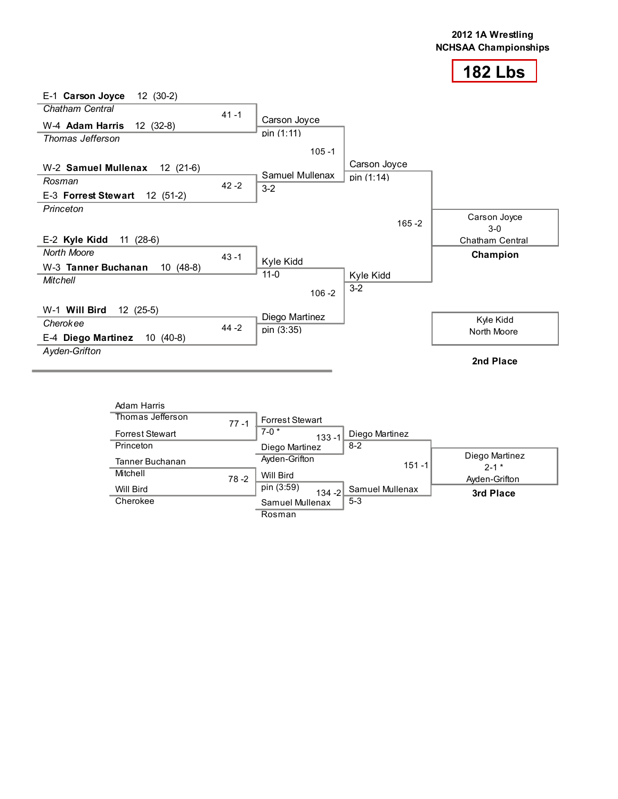

| $12(30-2)$<br>E-1 Carson Joyce    |          |                 |              |                       |
|-----------------------------------|----------|-----------------|--------------|-----------------------|
| Chatham Central                   | $41 - 1$ |                 |              |                       |
| W-4 Adam Harris<br>$12(32-8)$     |          | Carson Joyce    |              |                       |
| Thomas Jefferson                  |          | pin (1:11)      |              |                       |
|                                   |          | $105 - 1$       |              |                       |
| W-2 Samuel Mullenax<br>12 (21-6)  |          |                 | Carson Joyce |                       |
| Rosman                            | $42 - 2$ | Samuel Mullenax | pin (1:14)   |                       |
| E-3 Forrest Stewart<br>$12(51-2)$ |          | $3-2$           |              |                       |
| Princeton                         |          |                 |              |                       |
|                                   |          |                 | $165 - 2$    | Carson Joyce<br>$3-0$ |
| E-2 Kyle Kidd<br>11 (28-6)        |          |                 |              | Chatham Central       |
| North Moore                       | $43 - 1$ |                 |              | Champion              |
| W-3 Tanner Buchanan<br>$10(48-8)$ |          | Kyle Kidd       |              |                       |
| Mitchell                          |          | $11 - 0$        | Kyle Kidd    |                       |
|                                   |          | $106 - 2$       | $3-2$        |                       |
| W-1 Will Bird<br>$12(25-5)$       |          |                 |              |                       |
| Cherokee                          | $44 - 2$ | Diego Martinez  |              | Kyle Kidd             |
| E-4 Diego Martinez<br>$10(40-8)$  |          | pin (3:35)      |              | North Moore           |
| Ayden-Grifton                     |          |                 |              |                       |
|                                   |          |                 |              | 2nd Place             |

| Adam Harris            |          |                         |                 |                             |
|------------------------|----------|-------------------------|-----------------|-----------------------------|
| Thomas Jefferson       | $77 - 1$ | <b>Forrest Stewart</b>  |                 |                             |
| <b>Forrest Stewart</b> |          | $7-0*$<br>$133 - 1$     | Diego Martinez  |                             |
| Princeton              |          | Diego Martinez          | $8 - 2$         |                             |
| Tanner Buchanan        |          | Ayden-Grifton           | $151 - 1$       | Diego Martinez<br>$2 - 1$ * |
| Mitchell               | $78 - 2$ | Will Bird               |                 | Ayden-Grifton               |
| Will Bird              |          | pin (3:59)<br>$134 - 2$ | Samuel Mullenax | 3rd Place                   |
| Cherokee               |          | Samuel Mullenax         | $5-3$           |                             |
|                        |          | Rosman                  |                 |                             |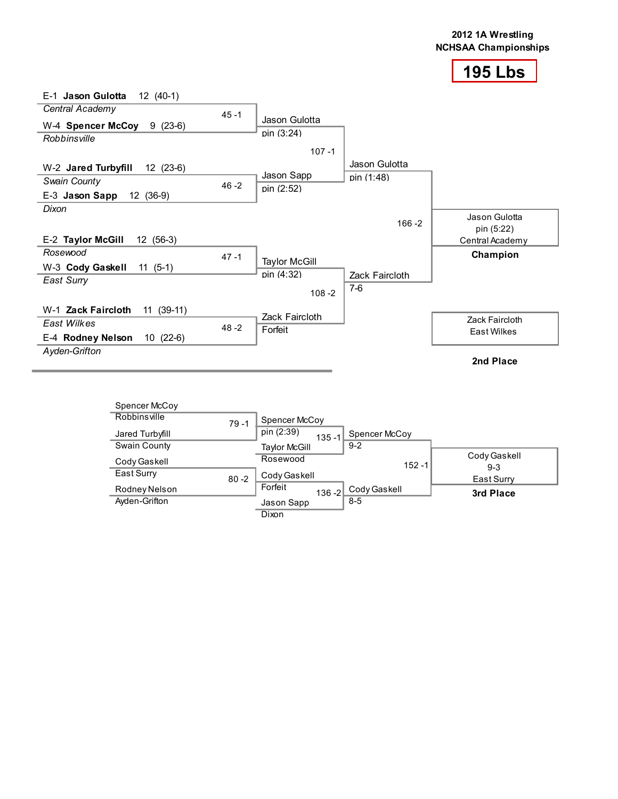

| E-1 Jason Gulotta<br>$12(40-1)$   |          |                           |                                |                    |
|-----------------------------------|----------|---------------------------|--------------------------------|--------------------|
| Central Academy                   | $45 - 1$ |                           |                                |                    |
| $W-4$ Spencer McCoy $9$ (23-6)    |          | Jason Gulotta             |                                |                    |
| Robbinsville                      |          | pin (3:24)                |                                |                    |
|                                   |          | $107 - 1$                 |                                |                    |
| W-2 Jared Turbyfill<br>$12(23-6)$ |          |                           | Jason Gulotta                  |                    |
| <b>Swain County</b>               | $46 - 2$ | Jason Sapp                | pin (1:48)                     |                    |
| E-3 Jason Sapp<br>12 (36-9)       |          | pin (2:52)                |                                |                    |
| Dixon                             |          |                           |                                | Jason Gulotta      |
|                                   |          |                           | $166 - 2$                      | pin (5:22)         |
| E-2 Taylor McGill<br>$12(56-3)$   |          |                           |                                | Central Academy    |
| Rosewood                          | $47 - 1$ |                           |                                | Champion           |
| W-3 Cody Gaskell<br>$11(5-1)$     |          | <b>Taylor McGill</b>      |                                |                    |
| East Surry                        |          | pin (4:32)                | <b>Zack Faircloth</b><br>$7-6$ |                    |
|                                   |          | $108 - 2$                 |                                |                    |
| $11(39-11)$<br>W-1 Zack Faircloth |          |                           |                                |                    |
| East Wilkes                       | $48 - 2$ | Zack Faircloth<br>Forfeit |                                | Zack Faircloth     |
| $10(22-6)$<br>E-4 Rodney Nelson   |          |                           |                                | <b>East Wilkes</b> |
| Ayden-Grifton                     |          |                           |                                |                    |
|                                   |          |                           |                                | 2nd Place          |

| Spencer McCoy   |          |                         |               |                       |
|-----------------|----------|-------------------------|---------------|-----------------------|
| Robbinsville    | $79 - 1$ | Spencer McCoy           |               |                       |
| Jared Turbyfill |          | pin (2:39)<br>$135 - 1$ | Spencer McCoy |                       |
| Swain County    |          | Taylor McGill           | $9 - 2$       |                       |
| Cody Gaskell    |          | Rosewood                | $152 - 1$     | Cody Gaskell<br>$9-3$ |
| East Surry      | $80 - 2$ | Cody Gaskell            |               | East Surry            |
| Rodney Nelson   |          | Forfeit<br>$136 - 2$    | Cody Gaskell  | 3rd Place             |
| Ayden-Grifton   |          | Jason Sapp              | $8 - 5$       |                       |
|                 |          | <b>Dixon</b>            |               |                       |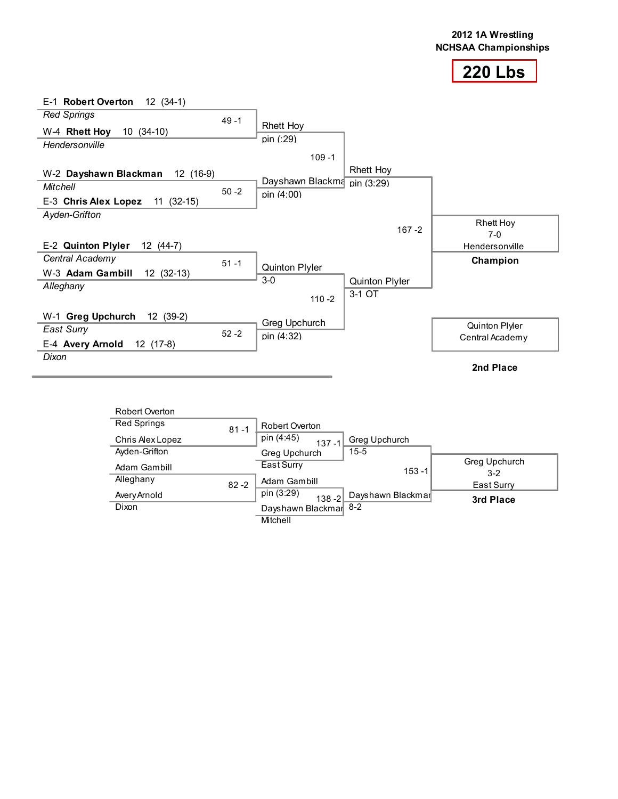

| E-1 Robert Overton<br>12 (34-1)     |          |                             |                          |                 |
|-------------------------------------|----------|-----------------------------|--------------------------|-----------------|
| <b>Red Springs</b>                  | $49 - 1$ |                             |                          |                 |
| $10(34-10)$<br>W-4 Rhett Hoy        |          | <b>Rhett Hoy</b>            |                          |                 |
| Hendersonville                      |          | pin (:29)                   |                          |                 |
|                                     |          | $109 - 1$                   |                          |                 |
| W-2 Dayshawn Blackman<br>12 (16-9)  |          |                             | Rhett Hoy                |                 |
| Mitchell                            | $50 - 2$ | Dayshawn Blackma pin (3:29) |                          |                 |
| E-3 Chris Alex Lopez<br>$11(32-15)$ |          | pin (4:00)                  |                          |                 |
| Ayden-Grifton                       |          |                             |                          | Rhett Hoy       |
|                                     |          |                             | $167 - 2$                | $7-0$           |
| E-2 Quinton Plyler<br>12 (44-7)     |          |                             |                          | Hendersonville  |
| Central Academy                     | $51 - 1$ |                             |                          | Champion        |
| W-3 Adam Gambill<br>12 (32-13)      |          | Quinton Plyler<br>$3-0$     |                          |                 |
| Alleghany                           |          |                             | Quinton Plyler<br>3-1 OT |                 |
|                                     |          | $110 - 2$                   |                          |                 |
| W-1 Greg Upchurch<br>12 (39-2)      |          | Greg Upchurch               |                          |                 |
| East Surry                          | $52 - 2$ | pin (4:32)                  |                          | Quinton Plyler  |
| E-4 Avery Arnold<br>12 (17-8)       |          |                             |                          | Central Academy |
| Dixon                               |          |                             |                          |                 |
|                                     |          |                             |                          | 2nd Place       |

| Robert Overton     |          |                         |                   |                          |
|--------------------|----------|-------------------------|-------------------|--------------------------|
| <b>Red Springs</b> | $81 - 1$ | Robert Overton          |                   |                          |
| Chris Alex Lopez   |          | pin (4:45)<br>$137 - 1$ | Greg Upchurch     |                          |
| Ayden-Grifton      |          | Greg Upchurch           | $15 - 5$          |                          |
| Adam Gambill       |          | East Surry              | $153 - 1$         | Greg Upchurch<br>$3 - 2$ |
| Alleghany          | $82 - 2$ | Adam Gambill            |                   | East Surry               |
| Avery Arnold       |          | pin (3:29)<br>$138 - 2$ | Dayshawn Blackmar | 3rd Place                |
| Dixon              |          | Dayshawn Blackmar 8-2   |                   |                          |
|                    |          | Mitchell                |                   |                          |